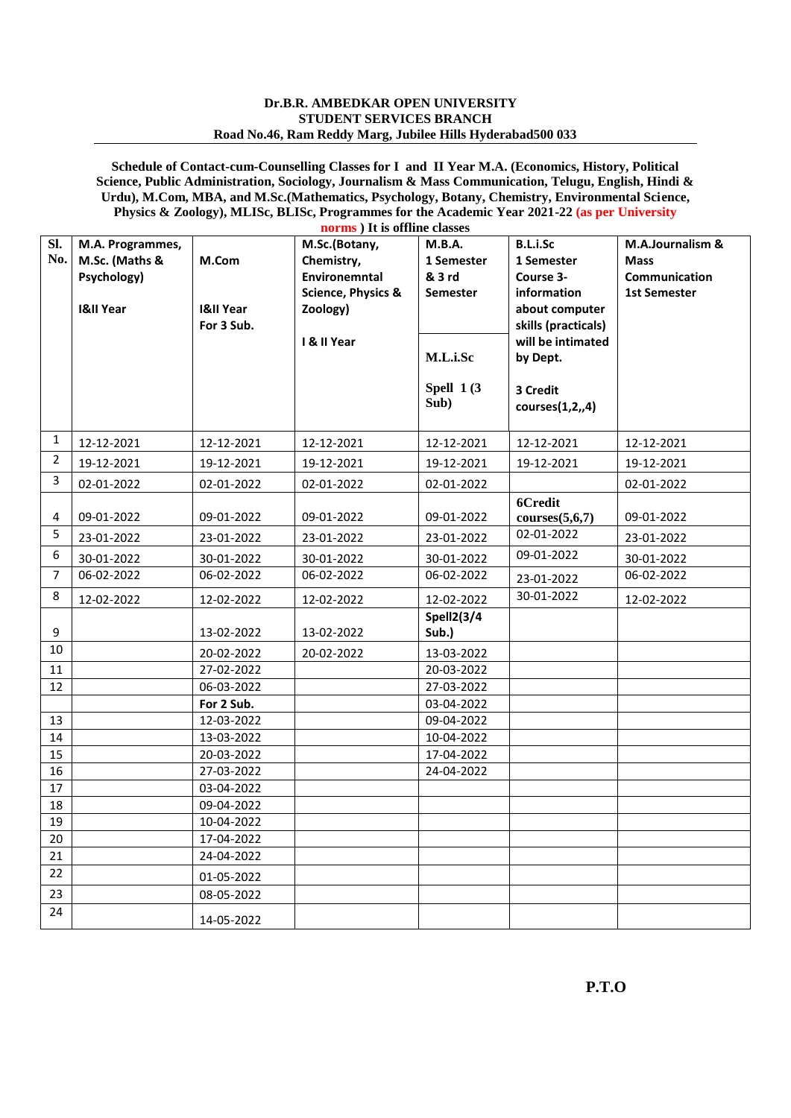## **Dr.B.R. AMBEDKAR OPEN UNIVERSITY STUDENT SERVICES BRANCH Road No.46, Ram Reddy Marg, Jubilee Hills Hyderabad500 033**

**Schedule of Contact-cum-Counselling Classes for I and II Year M.A. (Economics, History, Political Science, Public Administration, Sociology, Journalism & Mass Communication, Telugu, English, Hindi & Urdu), M.Com, MBA, and M.Sc.(Mathematics, Psychology, Botany, Chemistry, Environmental Science, Physics & Zoology), MLISc, BLISc, Programmes for the Academic Year 2021-22 (as per University norms ) It is offline classes**

| Sl.<br>No.     | M.A. Programmes,<br>M.Sc. (Maths &<br>Psychology)<br><b>I&amp;II Year</b> | M.Com<br><b>I&amp;II Year</b><br>For 3 Sub. | norms) It is offline classes<br>M.Sc.(Botany,<br>Chemistry,<br>Environemntal<br><b>Science, Physics &amp;</b><br>Zoology)<br>I & II Year | M.B.A.<br>1 Semester<br>& 3 rd<br><b>Semester</b> | <b>B.L.i.Sc</b><br>1 Semester<br>Course 3-<br>information<br>about computer<br>skills (practicals)<br>will be intimated | M.A.Journalism &<br><b>Mass</b><br>Communication<br><b>1st Semester</b> |
|----------------|---------------------------------------------------------------------------|---------------------------------------------|------------------------------------------------------------------------------------------------------------------------------------------|---------------------------------------------------|-------------------------------------------------------------------------------------------------------------------------|-------------------------------------------------------------------------|
|                |                                                                           |                                             |                                                                                                                                          | M.L.i.Sc<br>Spell $1(3)$<br>Sub)                  | by Dept.<br>3 Credit<br>course(1,2,4)                                                                                   |                                                                         |
| 1              | 12-12-2021                                                                | 12-12-2021                                  | 12-12-2021                                                                                                                               | 12-12-2021                                        | 12-12-2021                                                                                                              | 12-12-2021                                                              |
| 2              | 19-12-2021                                                                | 19-12-2021                                  | 19-12-2021                                                                                                                               | 19-12-2021                                        | 19-12-2021                                                                                                              | 19-12-2021                                                              |
| 3              | 02-01-2022                                                                | 02-01-2022                                  | 02-01-2022                                                                                                                               | 02-01-2022                                        |                                                                                                                         | 02-01-2022                                                              |
| 4              | 09-01-2022                                                                | 09-01-2022                                  | 09-01-2022                                                                                                                               | 09-01-2022                                        | 6Credit<br>course(5,6,7)                                                                                                | 09-01-2022                                                              |
| 5              | 23-01-2022                                                                | 23-01-2022                                  | 23-01-2022                                                                                                                               | 23-01-2022                                        | 02-01-2022                                                                                                              | 23-01-2022                                                              |
| 6              | 30-01-2022                                                                | 30-01-2022                                  | 30-01-2022                                                                                                                               | 30-01-2022                                        | 09-01-2022                                                                                                              | 30-01-2022                                                              |
| $\overline{7}$ | 06-02-2022                                                                | 06-02-2022                                  | 06-02-2022                                                                                                                               | 06-02-2022                                        | 23-01-2022                                                                                                              | 06-02-2022                                                              |
| 8              | 12-02-2022                                                                | 12-02-2022                                  | 12-02-2022                                                                                                                               | 12-02-2022                                        | 30-01-2022                                                                                                              | 12-02-2022                                                              |
| 9              |                                                                           | 13-02-2022                                  | 13-02-2022                                                                                                                               | Spell2(3/4<br>Sub.)                               |                                                                                                                         |                                                                         |
| 10             |                                                                           | 20-02-2022                                  | 20-02-2022                                                                                                                               | 13-03-2022                                        |                                                                                                                         |                                                                         |
| 11             |                                                                           | 27-02-2022                                  |                                                                                                                                          | 20-03-2022                                        |                                                                                                                         |                                                                         |
| 12             |                                                                           | 06-03-2022                                  |                                                                                                                                          | 27-03-2022                                        |                                                                                                                         |                                                                         |
|                |                                                                           | For 2 Sub.                                  |                                                                                                                                          | 03-04-2022                                        |                                                                                                                         |                                                                         |
| 13             |                                                                           | 12-03-2022                                  |                                                                                                                                          | 09-04-2022                                        |                                                                                                                         |                                                                         |
| 14<br>15       |                                                                           | 13-03-2022<br>20-03-2022                    |                                                                                                                                          | 10-04-2022                                        |                                                                                                                         |                                                                         |
| 16             |                                                                           | 27-03-2022                                  |                                                                                                                                          | 17-04-2022<br>24-04-2022                          |                                                                                                                         |                                                                         |
| 17             |                                                                           | 03-04-2022                                  |                                                                                                                                          |                                                   |                                                                                                                         |                                                                         |
| 18             |                                                                           | 09-04-2022                                  |                                                                                                                                          |                                                   |                                                                                                                         |                                                                         |
| 19             |                                                                           | 10-04-2022                                  |                                                                                                                                          |                                                   |                                                                                                                         |                                                                         |
| 20             |                                                                           | 17-04-2022                                  |                                                                                                                                          |                                                   |                                                                                                                         |                                                                         |
| 21             |                                                                           | 24-04-2022                                  |                                                                                                                                          |                                                   |                                                                                                                         |                                                                         |
| 22             |                                                                           | 01-05-2022                                  |                                                                                                                                          |                                                   |                                                                                                                         |                                                                         |
| 23             |                                                                           | 08-05-2022                                  |                                                                                                                                          |                                                   |                                                                                                                         |                                                                         |
| 24             |                                                                           | 14-05-2022                                  |                                                                                                                                          |                                                   |                                                                                                                         |                                                                         |